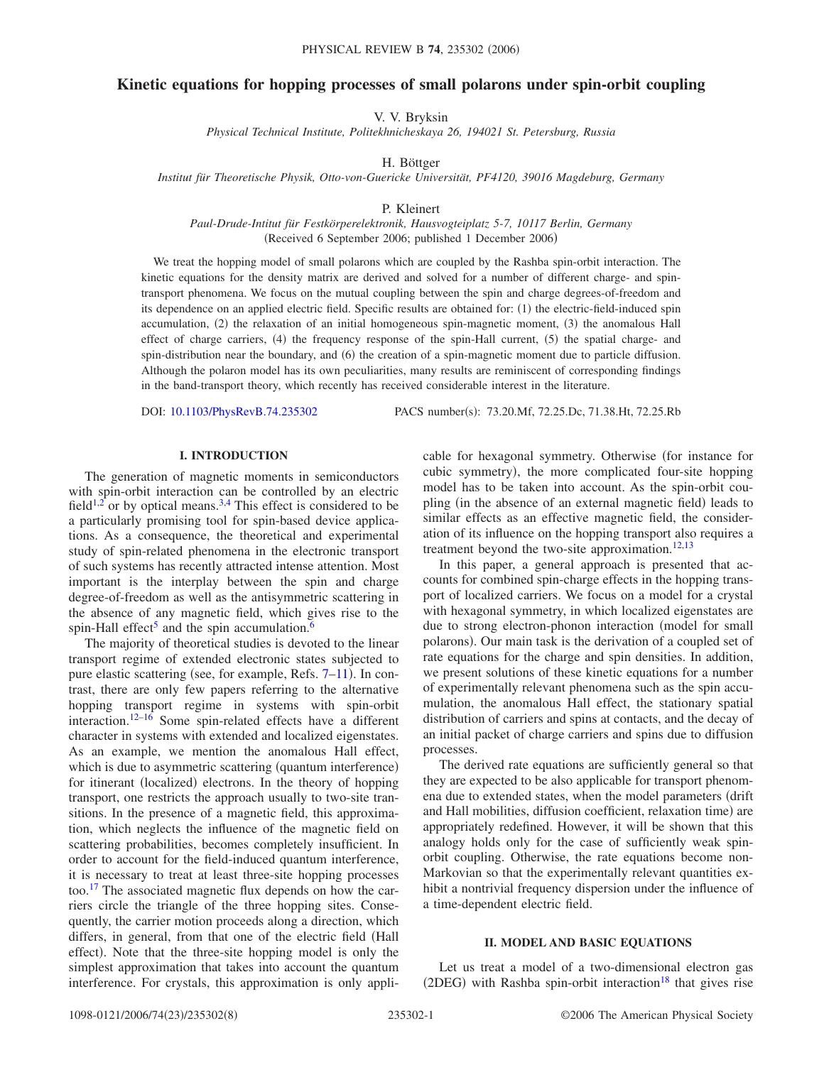# **Kinetic equations for hopping processes of small polarons under spin-orbit coupling**

V. V. Bryksin

*Physical Technical Institute, Politekhnicheskaya 26, 194021 St. Petersburg, Russia*

H. Böttger

*Institut für Theoretische Physik, Otto-von-Guericke Universität, PF4120, 39016 Magdeburg, Germany*

P. Kleinert

*Paul-Drude-Intitut für Festkörperelektronik, Hausvogteiplatz 5-7, 10117 Berlin, Germany* (Received 6 September 2006; published 1 December 2006)

We treat the hopping model of small polarons which are coupled by the Rashba spin-orbit interaction. The kinetic equations for the density matrix are derived and solved for a number of different charge- and spintransport phenomena. We focus on the mutual coupling between the spin and charge degrees-of-freedom and its dependence on an applied electric field. Specific results are obtained for: (1) the electric-field-induced spin accumulation, (2) the relaxation of an initial homogeneous spin-magnetic moment, (3) the anomalous Hall effect of charge carriers, (4) the frequency response of the spin-Hall current, (5) the spatial charge- and spin-distribution near the boundary, and (6) the creation of a spin-magnetic moment due to particle diffusion. Although the polaron model has its own peculiarities, many results are reminiscent of corresponding findings in the band-transport theory, which recently has received considerable interest in the literature.

DOI: [10.1103/PhysRevB.74.235302](http://dx.doi.org/10.1103/PhysRevB.74.235302)

PACS number(s): 73.20.Mf, 72.25.Dc, 71.38.Ht, 72.25.Rb

#### **I. INTRODUCTION**

The generation of magnetic moments in semiconductors with spin-orbit interaction can be controlled by an electric field<sup>1[,2](#page-7-1)</sup> or by optical means.<sup>3[,4](#page-7-3)</sup> This effect is considered to be a particularly promising tool for spin-based device applications. As a consequence, the theoretical and experimental study of spin-related phenomena in the electronic transport of such systems has recently attracted intense attention. Most important is the interplay between the spin and charge degree-of-freedom as well as the antisymmetric scattering in the absence of any magnetic field, which gives rise to the spin-Hall effect<sup>5</sup> and the spin accumulation.<sup>6</sup>

The majority of theoretical studies is devoted to the linear transport regime of extended electronic states subjected to pure elastic scattering (see, for example, Refs. [7–](#page-7-6)[11](#page-7-7)). In contrast, there are only few papers referring to the alternative hopping transport regime in systems with spin-orbit interaction[.12–](#page-7-8)[16](#page-7-9) Some spin-related effects have a different character in systems with extended and localized eigenstates. As an example, we mention the anomalous Hall effect, which is due to asymmetric scattering (quantum interference) for itinerant (localized) electrons. In the theory of hopping transport, one restricts the approach usually to two-site transitions. In the presence of a magnetic field, this approximation, which neglects the influence of the magnetic field on scattering probabilities, becomes completely insufficient. In order to account for the field-induced quantum interference, it is necessary to treat at least three-site hopping processes too[.17](#page-7-10) The associated magnetic flux depends on how the carriers circle the triangle of the three hopping sites. Consequently, the carrier motion proceeds along a direction, which differs, in general, from that one of the electric field (Hall effect). Note that the three-site hopping model is only the simplest approximation that takes into account the quantum interference. For crystals, this approximation is only applicable for hexagonal symmetry. Otherwise (for instance for cubic symmetry), the more complicated four-site hopping model has to be taken into account. As the spin-orbit coupling (in the absence of an external magnetic field) leads to similar effects as an effective magnetic field, the consideration of its influence on the hopping transport also requires a treatment beyond the two-site approximation.<sup>12,[13](#page-7-11)</sup>

In this paper, a general approach is presented that accounts for combined spin-charge effects in the hopping transport of localized carriers. We focus on a model for a crystal with hexagonal symmetry, in which localized eigenstates are due to strong electron-phonon interaction (model for small polarons). Our main task is the derivation of a coupled set of rate equations for the charge and spin densities. In addition, we present solutions of these kinetic equations for a number of experimentally relevant phenomena such as the spin accumulation, the anomalous Hall effect, the stationary spatial distribution of carriers and spins at contacts, and the decay of an initial packet of charge carriers and spins due to diffusion processes.

The derived rate equations are sufficiently general so that they are expected to be also applicable for transport phenomena due to extended states, when the model parameters (drift) and Hall mobilities, diffusion coefficient, relaxation time) are appropriately redefined. However, it will be shown that this analogy holds only for the case of sufficiently weak spinorbit coupling. Otherwise, the rate equations become non-Markovian so that the experimentally relevant quantities exhibit a nontrivial frequency dispersion under the influence of a time-dependent electric field.

#### **II. MODEL AND BASIC EQUATIONS**

Let us treat a model of a two-dimensional electron gas (2DEG) with Rashba spin-orbit interaction<sup>18</sup> that gives rise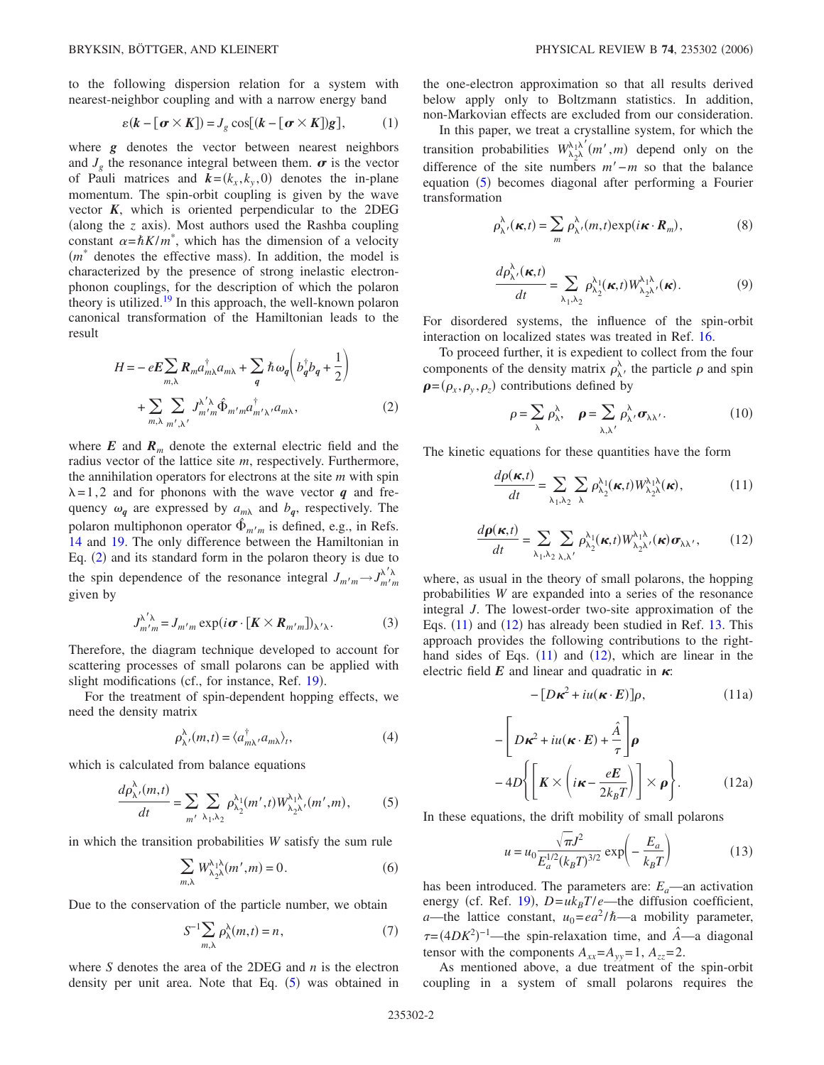to the following dispersion relation for a system with nearest-neighbor coupling and with a narrow energy band

$$
\varepsilon(k - [\boldsymbol{\sigma} \times \boldsymbol{K}]) = J_g \cos[(k - [\boldsymbol{\sigma} \times \boldsymbol{K}])g], \quad (1)
$$

where *g* denotes the vector between nearest neighbors and  $J_{\varphi}$  the resonance integral between them.  $\sigma$  is the vector of Pauli matrices and  $k = (k_x, k_y, 0)$  denotes the in-plane momentum. The spin-orbit coupling is given by the wave vector *K*, which is oriented perpendicular to the 2DEG (along the  $z$  axis). Most authors used the Rashba coupling constant  $\alpha = \hbar K/m^*$ , which has the dimension of a velocity  $(m^*)$  denotes the effective mass). In addition, the model is characterized by the presence of strong inelastic electronphonon couplings, for the description of which the polaron theory is utilized.<sup>19</sup> In this approach, the well-known polaron canonical transformation of the Hamiltonian leads to the result

<span id="page-1-0"></span>
$$
H = -eE \sum_{m,\lambda} R_m a_{m\lambda}^{\dagger} a_{m\lambda} + \sum_{q} \hbar \omega_q \left( b_q^{\dagger} b_q + \frac{1}{2} \right)
$$
  
+ 
$$
\sum_{m,\lambda} \sum_{m',\lambda'} J_{m'm}^{\lambda'\lambda} \hat{\Phi}_{m'm} a_{m'\lambda'}^{\dagger} a_{m\lambda},
$$
 (2)

where  $E$  and  $R_m$  denote the external electric field and the radius vector of the lattice site *m*, respectively. Furthermore, the annihilation operators for electrons at the site *m* with spin  $\lambda = 1,2$  and for phonons with the wave vector *q* and frequency  $\omega_q$  are expressed by  $a_{m\lambda}$  and  $b_q$ , respectively. The polaron multiphonon operator  $\hat{\Phi}_{m'm}$  is defined, e.g., in Refs. [14](#page-7-14) and [19.](#page-7-13) The only difference between the Hamiltonian in Eq.  $(2)$  $(2)$  $(2)$  and its standard form in the polaron theory is due to the spin dependence of the resonance integral  $J_{m'm} \rightarrow J_{m'm}^{\lambda'\lambda}$ given by

$$
J_{m'm}^{\lambda'\lambda} = J_{m'm} \exp(i\boldsymbol{\sigma} \cdot [\boldsymbol{K} \times \boldsymbol{R}_{m'm}])_{\lambda'\lambda}.
$$
 (3)

Therefore, the diagram technique developed to account for scattering processes of small polarons can be applied with slight modifications (cf., for instance, Ref. [19](#page-7-13)).

For the treatment of spin-dependent hopping effects, we need the density matrix

$$
\rho_{\lambda'}^{\lambda}(m,t) = \langle a_{m\lambda}^{\dagger}, a_{m\lambda} \rangle_t,\tag{4}
$$

<span id="page-1-1"></span>which is calculated from balance equations

$$
\frac{d\rho_{\lambda'}^{\lambda}(m,t)}{dt} = \sum_{m'} \sum_{\lambda_1, \lambda_2} \rho_{\lambda_2}^{\lambda_1}(m',t) W_{\lambda_2\lambda'}^{\lambda_1\lambda}(m',m),\tag{5}
$$

in which the transition probabilities *W* satisfy the sum rule

$$
\sum_{m,\lambda} W^{\lambda_1 \lambda}_{\lambda_2 \lambda} (m', m) = 0.
$$
 (6)

Due to the conservation of the particle number, we obtain

$$
S^{-1} \sum_{m,\lambda} \rho_{\lambda}^{\lambda}(m,t) = n, \qquad (7)
$$

where *S* denotes the area of the 2DEG and *n* is the electron density per unit area. Note that Eq.  $(5)$  $(5)$  $(5)$  was obtained in

the one-electron approximation so that all results derived below apply only to Boltzmann statistics. In addition, non-Markovian effects are excluded from our consideration.

In this paper, we treat a crystalline system, for which the transition probabilities  $W^{\lambda_1 \lambda'}_{\lambda_2 \lambda}(m',m)$  depend only on the difference of the site numbers *m*−*m* so that the balance equation ([5](#page-1-1)) becomes diagonal after performing a Fourier transformation

$$
\rho_{\lambda'}^{\lambda}(\kappa,t) = \sum_{m} \rho_{\lambda'}^{\lambda}(m,t) \exp(i\kappa \cdot R_m),
$$
 (8)

$$
\frac{d\rho_{\lambda'}^{\lambda}(\kappa,t)}{dt} = \sum_{\lambda_1,\lambda_2} \rho_{\lambda_2}^{\lambda_1}(\kappa,t) W_{\lambda_2\lambda'}^{\lambda_1\lambda}(\kappa).
$$
 (9)

For disordered systems, the influence of the spin-orbit interaction on localized states was treated in Ref. [16.](#page-7-9)

To proceed further, it is expedient to collect from the four components of the density matrix  $\rho_{\lambda}^{\lambda}$ , the particle  $\rho$  and spin  $\rho = (\rho_x, \rho_y, \rho_z)$  contributions defined by

$$
\rho = \sum_{\lambda} \rho_{\lambda}^{\lambda}, \quad \rho = \sum_{\lambda, \lambda'} \rho_{\lambda'}^{\lambda} \sigma_{\lambda \lambda'}.
$$
 (10)

<span id="page-1-2"></span>The kinetic equations for these quantities have the form

$$
\frac{d\rho(\kappa,t)}{dt} = \sum_{\lambda_1,\lambda_2} \sum_{\lambda} \rho^{\lambda_1}_{\lambda_2}(\kappa,t) W^{\lambda_1\lambda}_{\lambda_2\lambda}(\kappa),
$$
 (11)

$$
\frac{d\boldsymbol{\rho}(\boldsymbol{\kappa},t)}{dt} = \sum_{\lambda_1,\lambda_2} \sum_{\lambda,\lambda'} \rho^{\lambda_1}_{\lambda_2}(\boldsymbol{\kappa},t) W^{\lambda_1\lambda}_{\lambda_2\lambda'}(\boldsymbol{\kappa}) \boldsymbol{\sigma}_{\lambda\lambda'},
$$
(12)

<span id="page-1-3"></span>where, as usual in the theory of small polarons, the hopping probabilities *W* are expanded into a series of the resonance integral *J*. The lowest-order two-site approximation of the Eqs.  $(11)$  $(11)$  $(11)$  and  $(12)$  $(12)$  $(12)$  has already been studied in Ref. [13.](#page-7-11) This approach provides the following contributions to the righthand sides of Eqs.  $(11)$  $(11)$  $(11)$  and  $(12)$  $(12)$  $(12)$ , which are linear in the electric field  $E$  and linear and quadratic in  $\kappa$ :

$$
-[D\kappa^2 + iu(\kappa \cdot E)]\rho, \qquad (11a)
$$

<span id="page-1-6"></span><span id="page-1-5"></span>
$$
-\left[D\kappa^2 + iu(\kappa \cdot E) + \frac{\hat{A}}{\tau}\right]\rho
$$
  
-4D\left\{\left[K \times \left(i\kappa - \frac{eE}{2k\_BT}\right)\right] \times \rho\right\}. (12a)

<span id="page-1-4"></span>In these equations, the drift mobility of small polarons

$$
u = u_0 \frac{\sqrt{\pi} J^2}{E_a^{1/2} (k_B T)^{3/2}} \exp\left(-\frac{E_a}{k_B T}\right)
$$
 (13)

has been introduced. The parameters are:  $E_a$ —an activation energy (cf. Ref. [19](#page-7-13)),  $D = uk_B T/e$ —the diffusion coefficient, *a*—the lattice constant,  $u_0 = ea^2 / \hbar$ —a mobility parameter,  $\tau = (4DK^2)^{-1}$ —the spin-relaxation time, and  $\hat{A}$ —a diagonal tensor with the components  $A_{xx} = A_{yy} = 1$ ,  $A_{zz} = 2$ .

As mentioned above, a due treatment of the spin-orbit coupling in a system of small polarons requires the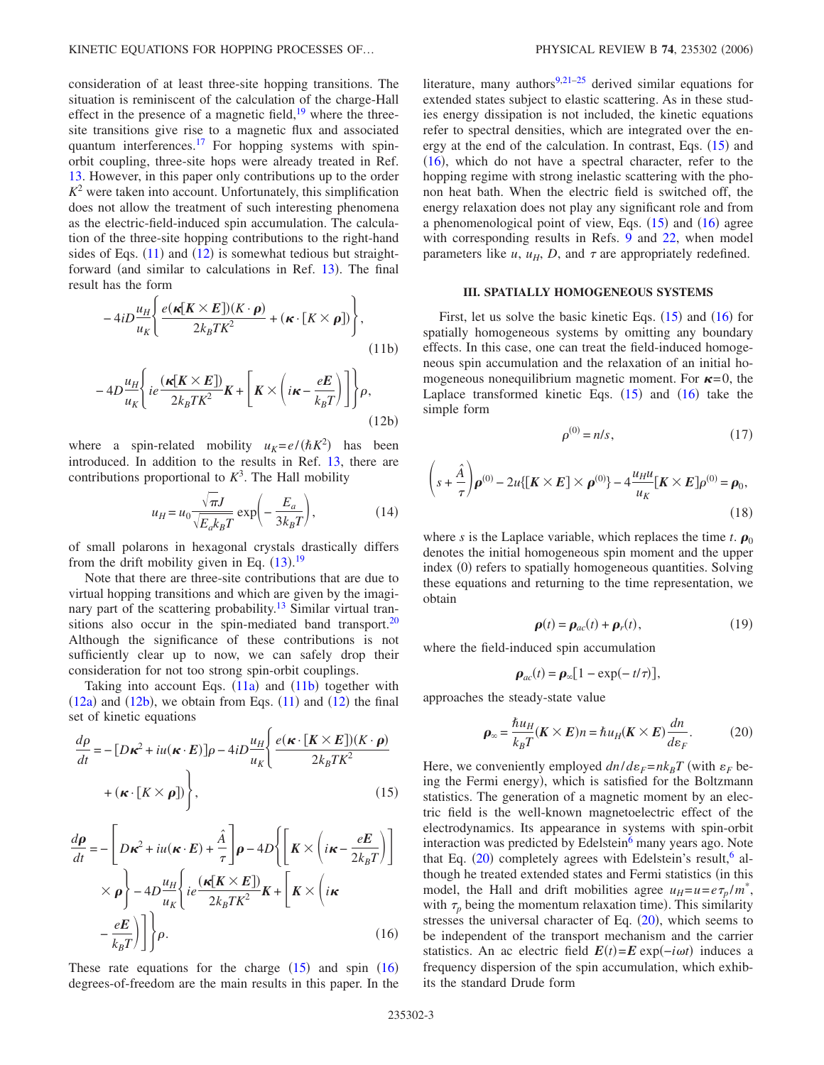consideration of at least three-site hopping transitions. The situation is reminiscent of the calculation of the charge-Hall effect in the presence of a magnetic field, $19$  where the threesite transitions give rise to a magnetic flux and associated quantum interferences.<sup>17</sup> For hopping systems with spinorbit coupling, three-site hops were already treated in Ref. [13.](#page-7-11) However, in this paper only contributions up to the order  $K<sup>2</sup>$  were taken into account. Unfortunately, this simplification does not allow the treatment of such interesting phenomena as the electric-field-induced spin accumulation. The calculation of the three-site hopping contributions to the right-hand sides of Eqs.  $(11)$  $(11)$  $(11)$  and  $(12)$  $(12)$  $(12)$  is somewhat tedious but straight-forward (and similar to calculations in Ref. [13](#page-7-11)). The final result has the form

<span id="page-2-0"></span>
$$
-4iD\frac{u_H}{u_K}\left\{\frac{e(\kappa[K\times E])(K\cdot\rho)}{2k_BTK^2}+(\kappa\cdot[K\times\rho])\right\},\tag{11b}
$$

<span id="page-2-1"></span>
$$
-4D\frac{u_H}{u_K}\bigg\{ie\frac{(\kappa[K\times E])}{2k_BTK^2}K + \bigg[K\times\bigg(i\kappa - \frac{eE}{k_B T}\bigg)\bigg]\bigg\}\rho,
$$
\n(12b)

where a spin-related mobility  $u_K = e/(\hbar K^2)$  has been introduced. In addition to the results in Ref. [13,](#page-7-11) there are contributions proportional to  $K^3$ . The Hall mobility

$$
u_H = u_0 \frac{\sqrt{\pi}J}{\sqrt{E_a k_B T}} \exp\left(-\frac{E_a}{3k_B T}\right),\tag{14}
$$

of small polarons in hexagonal crystals drastically differs from the drift mobility given in Eq.  $(13).<sup>19</sup>$  $(13).<sup>19</sup>$  $(13).<sup>19</sup>$  $(13).<sup>19</sup>$  $(13).<sup>19</sup>$ 

Note that there are three-site contributions that are due to virtual hopping transitions and which are given by the imaginary part of the scattering probability.<sup>13</sup> Similar virtual transitions also occur in the spin-mediated band transport. $20$ Although the significance of these contributions is not sufficiently clear up to now, we can safely drop their consideration for not too strong spin-orbit couplings.

Taking into account Eqs.  $(11a)$  $(11a)$  $(11a)$  and  $(11b)$  $(11b)$  $(11b)$  together with  $(12a)$  $(12a)$  $(12a)$  and  $(12b)$  $(12b)$  $(12b)$ , we obtain from Eqs.  $(11)$  $(11)$  $(11)$  and  $(12)$  $(12)$  $(12)$  the final set of kinetic equations

<span id="page-2-2"></span>
$$
\frac{d\rho}{dt} = -[D\kappa^2 + iu(\kappa \cdot E)]\rho - 4iD\frac{u_H}{u_K} \left\{ \frac{e(\kappa \cdot [K \times E])(K \cdot \rho)}{2k_BTK^2} + (\kappa \cdot [K \times \rho]) \right\},\tag{15}
$$

<span id="page-2-3"></span>
$$
\frac{d\rho}{dt} = -\left[D\kappa^2 + iu(\kappa \cdot E) + \frac{\hat{A}}{\tau}\right]\rho - 4D\left\{\left[K \times \left(i\kappa - \frac{eE}{2k_B T}\right)\right] \times \rho\right\} - 4D\frac{u_H}{u_K}\left\{ie\frac{(\kappa[K \times E])}{2k_B T K^2}K + \left[K \times \left(i\kappa\right)\right] - \frac{eE}{k_B T}\right)\right\}\rho.
$$
\n(16)

These rate equations for the charge  $(15)$  $(15)$  $(15)$  and spin  $(16)$  $(16)$  $(16)$ degrees-of-freedom are the main results in this paper. In the literature, many authors<sup>9[,21–](#page-7-17)[25](#page-7-18)</sup> derived similar equations for extended states subject to elastic scattering. As in these studies energy dissipation is not included, the kinetic equations refer to spectral densities, which are integrated over the energy at the end of the calculation. In contrast, Eqs.  $(15)$  $(15)$  $(15)$  and  $(16)$  $(16)$  $(16)$ , which do not have a spectral character, refer to the hopping regime with strong inelastic scattering with the phonon heat bath. When the electric field is switched off, the energy relaxation does not play any significant role and from a phenomenological point of view, Eqs.  $(15)$  $(15)$  $(15)$  and  $(16)$  $(16)$  $(16)$  agree with corresponding results in Refs. [9](#page-7-16) and [22,](#page-7-19) when model parameters like  $u$ ,  $u_H$ ,  $D$ , and  $\tau$  are appropriately redefined.

## **III. SPATIALLY HOMOGENEOUS SYSTEMS**

First, let us solve the basic kinetic Eqs.  $(15)$  $(15)$  $(15)$  and  $(16)$  $(16)$  $(16)$  for spatially homogeneous systems by omitting any boundary effects. In this case, one can treat the field-induced homogeneous spin accumulation and the relaxation of an initial homogeneous nonequilibrium magnetic moment. For  $\kappa = 0$ , the Laplace transformed kinetic Eqs.  $(15)$  $(15)$  $(15)$  and  $(16)$  $(16)$  $(16)$  take the simple form

$$
\rho^{(0)} = n/s,\tag{17}
$$

$$
\left(s+\frac{\hat{A}}{\tau}\right)\boldsymbol{\rho}^{(0)}-2u\{\left[\boldsymbol{K}\times\boldsymbol{E}\right]\times\boldsymbol{\rho}^{(0)}\}-4\frac{u_Hu}{u_K}[\boldsymbol{K}\times\boldsymbol{E}]\boldsymbol{\rho}^{(0)}=\boldsymbol{\rho}_0,
$$
\n(18)

where *s* is the Laplace variable, which replaces the time *t*.  $\rho_0$ denotes the initial homogeneous spin moment and the upper index (0) refers to spatially homogeneous quantities. Solving these equations and returning to the time representation, we obtain

$$
\boldsymbol{\rho}(t) = \boldsymbol{\rho}_{ac}(t) + \boldsymbol{\rho}_r(t),\tag{19}
$$

<span id="page-2-5"></span>where the field-induced spin accumulation

$$
\boldsymbol{\rho}_{ac}(t) = \boldsymbol{\rho}_{\infty} [1 - \exp(-t/\tau)],
$$

<span id="page-2-4"></span>approaches the steady-state value

$$
\rho_{\infty} = \frac{\hbar u_H}{k_B T} (K \times E) n = \hbar u_H (K \times E) \frac{dn}{d\varepsilon_F}.
$$
 (20)

Here, we conveniently employed  $dn/d\varepsilon_F=n k_B T$  (with  $\varepsilon_F$  being the Fermi energy), which is satisfied for the Boltzmann statistics. The generation of a magnetic moment by an electric field is the well-known magnetoelectric effect of the electrodynamics. Its appearance in systems with spin-orbit interaction was predicted by Edelstein<sup>6</sup> many years ago. Note that Eq.  $(20)$  $(20)$  $(20)$  completely agrees with Edelstein's result, <sup>6</sup> although he treated extended states and Fermi statistics (in this model, the Hall and drift mobilities agree  $u_H = u = e \tau_p / m^*$ , with  $\tau_p$  being the momentum relaxation time). This similarity stresses the universal character of Eq.  $(20)$  $(20)$  $(20)$ , which seems to be independent of the transport mechanism and the carrier statistics. An ac electric field  $E(t) = E \exp(-i\omega t)$  induces a frequency dispersion of the spin accumulation, which exhibits the standard Drude form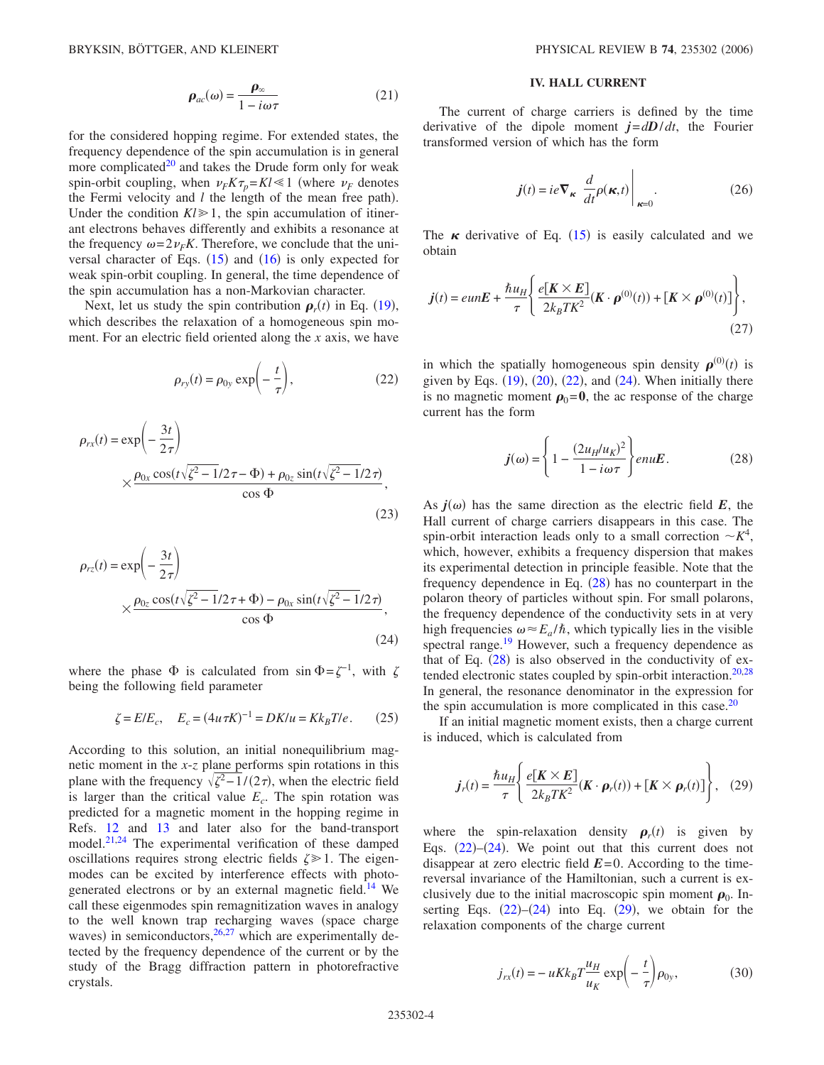$$
\rho_{ac}(\omega) = \frac{\rho_{\infty}}{1 - i\omega\tau}
$$
 (21)

<span id="page-3-5"></span>for the considered hopping regime. For extended states, the frequency dependence of the spin accumulation is in general more complicated $20$  and takes the Drude form only for weak spin-orbit coupling, when  $\nu_F K \tau_p = K l \ll 1$  (where  $\nu_F$  denotes the Fermi velocity and  $l$  the length of the mean free path). Under the condition  $Kl \geq 1$ , the spin accumulation of itinerant electrons behaves differently and exhibits a resonance at the frequency  $\omega = 2v_F K$ . Therefore, we conclude that the universal character of Eqs.  $(15)$  $(15)$  $(15)$  and  $(16)$  $(16)$  $(16)$  is only expected for weak spin-orbit coupling. In general, the time dependence of the spin accumulation has a non-Markovian character.

<span id="page-3-0"></span>Next, let us study the spin contribution  $\rho_r(t)$  in Eq. ([19](#page-2-5)), which describes the relaxation of a homogeneous spin moment. For an electric field oriented along the *x* axis, we have

$$
\rho_{ry}(t) = \rho_{0y} \exp\left(-\frac{t}{\tau}\right),\tag{22}
$$

$$
\rho_{rx}(t) = \exp\left(-\frac{3t}{2\tau}\right)
$$
  
 
$$
\times \frac{\rho_{0x}\cos(t\sqrt{\zeta^2 - 1/2\tau} - \Phi) + \rho_{0z}\sin(t\sqrt{\zeta^2 - 1/2\tau})}{\cos\Phi},
$$
 (23)

<span id="page-3-1"></span>
$$
\rho_{rz}(t) = \exp\left(-\frac{3t}{2\tau}\right)
$$
  
 
$$
\times \frac{\rho_{0z}\cos(t\sqrt{\zeta^2 - 1/2\tau + \Phi}) - \rho_{0x}\sin(t\sqrt{\zeta^2 - 1/2\tau})}{\cos\Phi},
$$
 (24)

where the phase  $\Phi$  is calculated from sin  $\Phi = \zeta^{-1}$ , with  $\zeta$ being the following field parameter

$$
\zeta = E/E_c
$$
,  $E_c = (4u\tau K)^{-1} = DK/u = Kk_B T/e$ . (25)

According to this solution, an initial nonequilibrium magnetic moment in the *x*-*z* plane performs spin rotations in this plane with the frequency  $\sqrt{\zeta^2-1/(2\tau)}$ , when the electric field is larger than the critical value  $E_c$ . The spin rotation was predicted for a magnetic moment in the hopping regime in Refs. [12](#page-7-8) and [13](#page-7-11) and later also for the band-transport model.<sup>21[,24](#page-7-20)</sup> The experimental verification of these damped oscillations requires strong electric fields  $\zeta \geq 1$ . The eigenmodes can be excited by interference effects with photogenerated electrons or by an external magnetic field.<sup>14</sup> We call these eigenmodes spin remagnitization waves in analogy to the well known trap recharging waves (space charge waves) in semiconductors, <sup>26[,27](#page-7-22)</sup> which are experimentally detected by the frequency dependence of the current or by the study of the Bragg diffraction pattern in photorefractive crystals.

## **IV. HALL CURRENT**

The current of charge carriers is defined by the time derivative of the dipole moment  $j = dD/dt$ , the Fourier transformed version of which has the form

$$
\boldsymbol{j}(t) = ie \nabla_{\boldsymbol{\kappa}} \left. \frac{d}{dt} \rho(\boldsymbol{\kappa}, t) \right|_{\boldsymbol{\kappa} = 0}.
$$
 (26)

<span id="page-3-4"></span>The  $\kappa$  derivative of Eq. ([15](#page-2-2)) is easily calculated and we obtain

$$
\boldsymbol{j}(t) = eun\boldsymbol{E} + \frac{\hbar u_H}{\tau} \left\{ \frac{e[\boldsymbol{K} \times \boldsymbol{E}]}{2k_B T K^2} (\boldsymbol{K} \cdot \boldsymbol{\rho}^{(0)}(t)) + [\boldsymbol{K} \times \boldsymbol{\rho}^{(0)}(t)] \right\},\tag{27}
$$

in which the spatially homogeneous spin density  $\rho^{(0)}(t)$  is given by Eqs.  $(19)$  $(19)$  $(19)$ ,  $(20)$  $(20)$  $(20)$ ,  $(22)$  $(22)$  $(22)$ , and  $(24)$  $(24)$  $(24)$ . When initially there is no magnetic moment  $\rho_0=0$ , the ac response of the charge current has the form

$$
\boldsymbol{j}(\omega) = \left\{ 1 - \frac{(2u_H/u_K)^2}{1 - i\omega \tau} \right\} enu\boldsymbol{E}.
$$
 (28)

<span id="page-3-2"></span>As  $j(\omega)$  has the same direction as the electric field  $E$ , the Hall current of charge carriers disappears in this case. The spin-orbit interaction leads only to a small correction  $\sim K^4$ , which, however, exhibits a frequency dispersion that makes its experimental detection in principle feasible. Note that the frequency dependence in Eq.  $(28)$  $(28)$  $(28)$  has no counterpart in the polaron theory of particles without spin. For small polarons, the frequency dependence of the conductivity sets in at very high frequencies  $\omega \approx E_a/\hbar$ , which typically lies in the visible spectral range.<sup>19</sup> However, such a frequency dependence as that of Eq.  $(28)$  $(28)$  $(28)$  is also observed in the conductivity of ex-tended electronic states coupled by spin-orbit interaction.<sup>20[,28](#page-7-23)</sup> In general, the resonance denominator in the expression for the spin accumulation is more complicated in this case. $20$ 

If an initial magnetic moment exists, then a charge current is induced, which is calculated from

<span id="page-3-3"></span>
$$
j_r(t) = \frac{\hbar u_H}{\tau} \left\{ \frac{e[K \times E]}{2k_BTK^2} (K \cdot \boldsymbol{\rho}_r(t)) + [K \times \boldsymbol{\rho}_r(t)] \right\}, \quad (29)
$$

where the spin-relaxation density  $\rho_r(t)$  is given by Eqs.  $(22)$  $(22)$  $(22)$ - $(24)$  $(24)$  $(24)$ . We point out that this current does not disappear at zero electric field  $E=0$ . According to the timereversal invariance of the Hamiltonian, such a current is exclusively due to the initial macroscopic spin moment  $\rho_0$ . Inserting Eqs.  $(22)$  $(22)$  $(22)$ – $(24)$  $(24)$  $(24)$  into Eq.  $(29)$  $(29)$  $(29)$ , we obtain for the relaxation components of the charge current

<span id="page-3-6"></span>
$$
j_{rx}(t) = -uKk_BT \frac{u_H}{u_K} \exp\left(-\frac{t}{\tau}\right) \rho_{0y},
$$
 (30)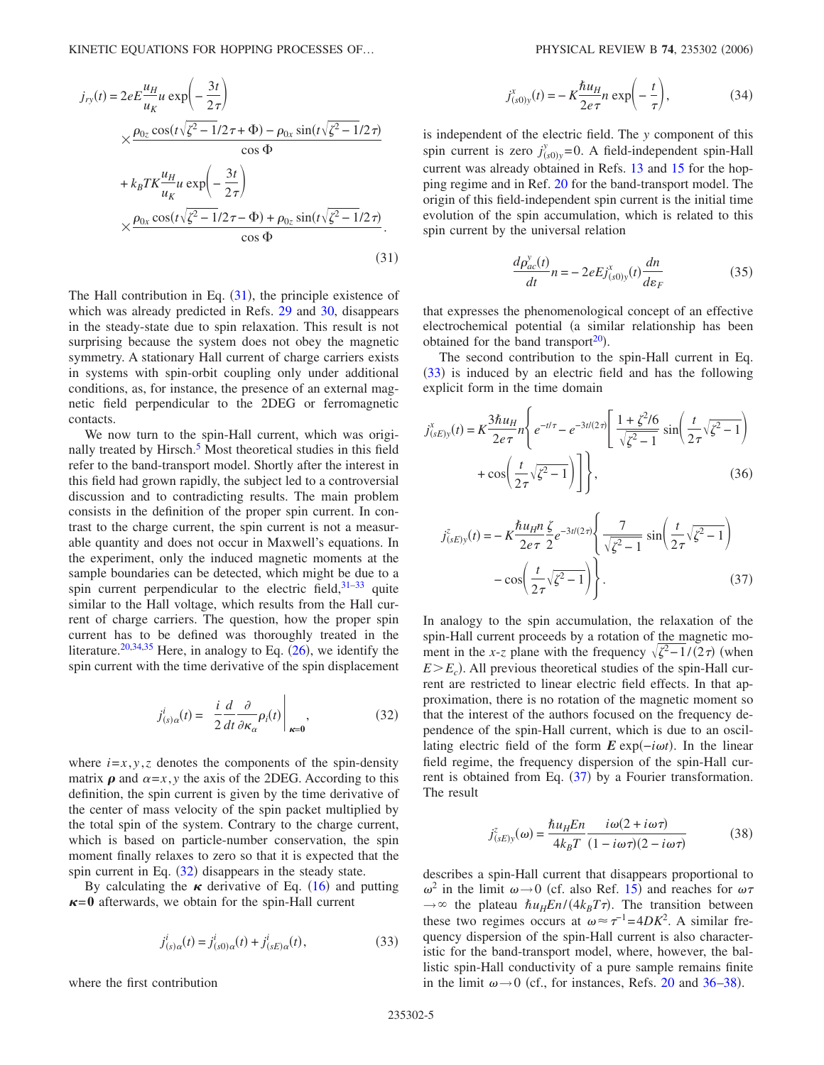<span id="page-4-0"></span>
$$
j_{ry}(t) = 2eE\frac{u_H}{u_K}u \exp\left(-\frac{3t}{2\tau}\right)
$$
  
 
$$
\times \frac{\rho_{0z}\cos(t\sqrt{\zeta^2 - 1}/2\tau + \Phi) - \rho_{0x}\sin(t\sqrt{\zeta^2 - 1}/2\tau)}{\cos\Phi}
$$
  
 
$$
+ k_BTK\frac{u_H}{u_K}u \exp\left(-\frac{3t}{2\tau}\right)
$$
  
 
$$
\times \frac{\rho_{0x}\cos(t\sqrt{\zeta^2 - 1}/2\tau - \Phi) + \rho_{0z}\sin(t\sqrt{\zeta^2 - 1}/2\tau)}{\cos\Phi}.
$$
  
(31)

The Hall contribution in Eq.  $(31)$  $(31)$  $(31)$ , the principle existence of which was already predicted in Refs. [29](#page-7-24) and [30,](#page-7-25) disappears in the steady-state due to spin relaxation. This result is not surprising because the system does not obey the magnetic symmetry. A stationary Hall current of charge carriers exists in systems with spin-orbit coupling only under additional conditions, as, for instance, the presence of an external magnetic field perpendicular to the 2DEG or ferromagnetic contacts.

We now turn to the spin-Hall current, which was originally treated by Hirsch.<sup>5</sup> Most theoretical studies in this field refer to the band-transport model. Shortly after the interest in this field had grown rapidly, the subject led to a controversial discussion and to contradicting results. The main problem consists in the definition of the proper spin current. In contrast to the charge current, the spin current is not a measurable quantity and does not occur in Maxwell's equations. In the experiment, only the induced magnetic moments at the sample boundaries can be detected, which might be due to a spin current perpendicular to the electric field,  $31-33$  $31-33$  quite similar to the Hall voltage, which results from the Hall current of charge carriers. The question, how the proper spin current has to be defined was thoroughly treated in the literature.<sup>20,[34](#page-7-28)[,35](#page-7-29)</sup> Here, in analogy to Eq.  $(26)$  $(26)$  $(26)$ , we identify the spin current with the time derivative of the spin displacement

$$
j_{(s)\alpha}^{i}(t) = \left. \frac{i}{2} \frac{d}{dt} \frac{\partial}{\partial \kappa_{\alpha}} \rho_{i}(t) \right|_{\kappa=0}, \tag{32}
$$

<span id="page-4-1"></span>where  $i=x, y, z$  denotes the components of the spin-density matrix  $\rho$  and  $\alpha = x$ , *y* the axis of the 2DEG. According to this definition, the spin current is given by the time derivative of the center of mass velocity of the spin packet multiplied by the total spin of the system. Contrary to the charge current, which is based on particle-number conservation, the spin moment finally relaxes to zero so that it is expected that the spin current in Eq. ([32](#page-4-1)) disappears in the steady state.

By calculating the  $\kappa$  derivative of Eq. ([16](#page-2-3)) and putting  $\kappa$ =0 afterwards, we obtain for the spin-Hall current

$$
j_{(s)\alpha}^{i}(t) = j_{(s0)\alpha}^{i}(t) + j_{(sE)\alpha}^{i}(t),
$$
\n(33)

<span id="page-4-2"></span>where the first contribution

$$
j_{(s0)y}^x(t) = -K\frac{\hbar u_H}{2e\tau}n\exp\left(-\frac{t}{\tau}\right),\tag{34}
$$

is independent of the electric field. The *y* component of this spin current is zero  $j^y_{(s0)y} = 0$ . A field-independent spin-Hall current was already obtained in Refs. [13](#page-7-11) and [15](#page-7-30) for the hopping regime and in Ref. [20](#page-7-15) for the band-transport model. The origin of this field-independent spin current is the initial time evolution of the spin accumulation, which is related to this spin current by the universal relation

$$
\frac{d\rho_{ac}^{\mathbf{y}}(t)}{dt}n = -2eEj_{(s0)\mathbf{y}}^{x}(t)\frac{dn}{d\varepsilon_{F}}
$$
\n(35)

that expresses the phenomenological concept of an effective electrochemical potential (a similar relationship has been obtained for the band transport $^{20}$ ).

The second contribution to the spin-Hall current in Eq. ([33](#page-4-2)) is induced by an electric field and has the following explicit form in the time domain

$$
j_{(sE)y}^{x}(t) = K \frac{3\hbar u_{H}}{2e\tau} n \left\{ e^{-t/\tau} - e^{-3t/(2\tau)} \left[ \frac{1 + \zeta^{2}/6}{\sqrt{\zeta^{2} - 1}} \sin \left( \frac{t}{2\tau} \sqrt{\zeta^{2} - 1} \right) + \cos \left( \frac{t}{2\tau} \sqrt{\zeta^{2} - 1} \right) \right] \right\},
$$
(36)

<span id="page-4-3"></span>
$$
j_{(sE)y}^z(t) = -K \frac{\hbar u_H n}{2e\tau} \frac{\zeta}{2} e^{-3t/(2\tau)} \left\{ \frac{7}{\sqrt{\zeta^2 - 1}} \sin \left( \frac{t}{2\tau} \sqrt{\zeta^2 - 1} \right) - \cos \left( \frac{t}{2\tau} \sqrt{\zeta^2 - 1} \right) \right\}.
$$
 (37)

In analogy to the spin accumulation, the relaxation of the spin-Hall current proceeds by a rotation of the magnetic moment in the *x*-*z* plane with the frequency  $\sqrt{\zeta^2-1/(2\tau)}$  (when  $E>E_c$ ). All previous theoretical studies of the spin-Hall current are restricted to linear electric field effects. In that approximation, there is no rotation of the magnetic moment so that the interest of the authors focused on the frequency dependence of the spin-Hall current, which is due to an oscillating electric field of the form *E* exp(*−iωt*). In the linear field regime, the frequency dispersion of the spin-Hall current is obtained from Eq.  $(37)$  $(37)$  $(37)$  by a Fourier transformation. The result

$$
j_{(sE)y}^z(\omega) = \frac{\hbar u_H E n}{4k_B T} \frac{i\omega(2 + i\omega\tau)}{(1 - i\omega\tau)(2 - i\omega\tau)}
$$
(38)

<span id="page-4-4"></span>describes a spin-Hall current that disappears proportional to  $ω^2$  in the limit  $ω \rightarrow 0$  (cf. also Ref. [15](#page-7-30)) and reaches for  $ωτ$  $\rightarrow \infty$  the plateau  $\hbar u_H E n / (4k_B T \tau)$ . The transition between these two regimes occurs at  $\omega \approx \tau^{-1} = 4DK^2$ . A similar frequency dispersion of the spin-Hall current is also characteristic for the band-transport model, where, however, the ballistic spin-Hall conductivity of a pure sample remains finite in the limit  $\omega \rightarrow 0$  (cf., for instances, Refs. [20](#page-7-15) and [36](#page-7-31)[–38](#page-7-32)).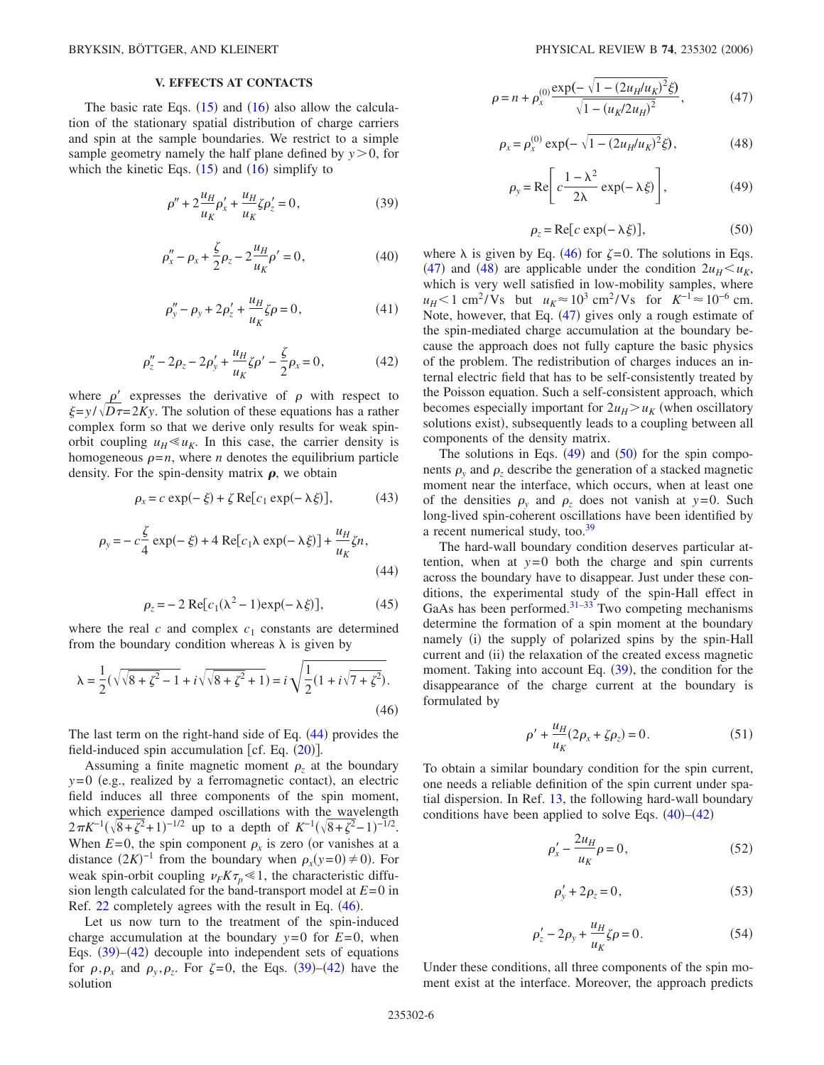# **V. EFFECTS AT CONTACTS**

<span id="page-5-1"></span>The basic rate Eqs.  $(15)$  $(15)$  $(15)$  and  $(16)$  $(16)$  $(16)$  also allow the calculation of the stationary spatial distribution of charge carriers and spin at the sample boundaries. We restrict to a simple sample geometry namely the half plane defined by  $y > 0$ , for which the kinetic Eqs.  $(15)$  $(15)$  $(15)$  and  $(16)$  $(16)$  $(16)$  simplify to

$$
\rho'' + 2\frac{u_H}{u_K}\rho'_x + \frac{u_H}{u_K}\zeta\rho'_z = 0,\t(39)
$$

<span id="page-5-7"></span>
$$
\rho''_x - \rho_x + \frac{\zeta}{2}\rho_z - 2\frac{u_H}{u_K}\rho' = 0,\tag{40}
$$

$$
\rho''_y - \rho_y + 2\rho'_z + \frac{u_H}{u_K}\zeta \rho = 0, \qquad (41)
$$

$$
\rho''_z - 2\rho_z - 2\rho'_y + \frac{u_H}{u_K}\zeta\rho' - \frac{\zeta}{2}\rho_x = 0, \qquad (42)
$$

<span id="page-5-2"></span>where  $\rho'$  expresses the derivative of  $\rho$  with respect to  $\xi = y / \sqrt{D\tau} = 2Ky$ . The solution of these equations has a rather complex form so that we derive only results for weak spinorbit coupling  $u_H \ll u_K$ . In this case, the carrier density is homogeneous  $\rho = n$ , where *n* denotes the equilibrium particle density. For the spin-density matrix  $\rho$ , we obtain

$$
\rho_x = c \exp(-\xi) + \zeta \operatorname{Re}[c_1 \exp(-\lambda \xi)],\tag{43}
$$

<span id="page-5-0"></span>
$$
\rho_y = -c\frac{\zeta}{4}\exp(-\xi) + 4\operatorname{Re}[c_1\lambda\exp(-\lambda\xi)] + \frac{u_H}{u_K}\zeta n,
$$
\n(44)

$$
\rho_z = -2 \operatorname{Re}[c_1(\lambda^2 - 1)\exp(-\lambda \xi)],\tag{45}
$$

where the real  $c$  and complex  $c_1$  constants are determined from the boundary condition whereas  $\lambda$  is given by

$$
\lambda = \frac{1}{2}(\sqrt{\sqrt{8 + \zeta^2} - 1} + i\sqrt{\sqrt{8 + \zeta^2} + 1}) = i\sqrt{\frac{1}{2}(1 + i\sqrt{7 + \zeta^2})}.
$$
\n(46)

The last term on the right-hand side of Eq.  $(44)$  $(44)$  $(44)$  provides the field-induced spin accumulation [cf. Eq.  $(20)$  $(20)$  $(20)$ ].

Assuming a finite magnetic moment  $\rho_z$  at the boundary  $y=0$  (e.g., realized by a ferromagnetic contact), an electric field induces all three components of the spin moment, which experience damped oscillations with the wavelength  $2\pi K^{-1}(\sqrt{8+\zeta^2}+1)^{-1/2}$  up to a depth of  $K^{-1}(\sqrt{8+\zeta^2}-1)^{-1/2}$ . When  $E=0$ , the spin component  $\rho_x$  is zero (or vanishes at a distance  $(2K)^{-1}$  from the boundary when  $\rho_x(y=0) \neq 0$ ). For weak spin-orbit coupling  $\nu_F K \tau_p \ll 1$ , the characteristic diffusion length calculated for the band-transport model at *E*=0 in Ref.  $22$  completely agrees with the result in Eq.  $(46)$  $(46)$  $(46)$ .

Let us now turn to the treatment of the spin-induced charge accumulation at the boundary  $y=0$  for  $E=0$ , when Eqs.  $(39)$  $(39)$  $(39)$ – $(42)$  $(42)$  $(42)$  decouple into independent sets of equations for  $\rho$ ,  $\rho_x$  and  $\rho_y$ ,  $\rho_z$ . For  $\zeta = 0$ , the Eqs. ([39](#page-5-1))–([42](#page-5-2)) have the solution

<span id="page-5-3"></span>
$$
\rho = n + \rho_x^{(0)} \frac{\exp(-\sqrt{1 - (2u_H/u_K)^2} \xi)}{\sqrt{1 - (u_K/2u_H)^2}},
$$
(47)

<span id="page-5-5"></span><span id="page-5-4"></span>
$$
\rho_x = \rho_x^{(0)} \exp(-\sqrt{1 - (2u_H/u_K)^2} \xi), \tag{48}
$$

$$
\rho_{y} = \text{Re}\left[c\frac{1-\lambda^{2}}{2\lambda}\exp(-\lambda\xi)\right],\tag{49}
$$

$$
\rho_z = \text{Re}[c \exp(-\lambda \xi)],\tag{50}
$$

<span id="page-5-6"></span>where  $\lambda$  is given by Eq. ([46](#page-5-1)) for  $\zeta = 0$ . The solutions in Eqs. ([47](#page-5-3)) and ([48](#page-5-4)) are applicable under the condition  $2u_H < u_K$ , which is very well satisfied in low-mobility samples, where  $u_H < 1$  cm<sup>2</sup>/Vs but  $u_K \approx 10^3$  cm<sup>2</sup>/Vs for  $K^{-1} \approx 10^{-6}$  cm. Note, however, that Eq. ([47](#page-5-3)) gives only a rough estimate of the spin-mediated charge accumulation at the boundary because the approach does not fully capture the basic physics of the problem. The redistribution of charges induces an internal electric field that has to be self-consistently treated by the Poisson equation. Such a self-consistent approach, which becomes especially important for  $2u_H > u_K$  (when oscillatory solutions exist), subsequently leads to a coupling between all components of the density matrix.

The solutions in Eqs.  $(49)$  $(49)$  $(49)$  and  $(50)$  $(50)$  $(50)$  for the spin components  $\rho$ <sub>v</sub> and  $\rho$ <sub>z</sub> describe the generation of a stacked magnetic moment near the interface, which occurs, when at least one of the densities  $\rho$ <sub>y</sub> and  $\rho$ <sub>z</sub> does not vanish at y=0. Such long-lived spin-coherent oscillations have been identified by a recent numerical study, too[.39](#page-7-33)

The hard-wall boundary condition deserves particular attention, when at  $y=0$  both the charge and spin currents across the boundary have to disappear. Just under these conditions, the experimental study of the spin-Hall effect in GaAs has been performed. $31-33$  Two competing mechanisms determine the formation of a spin moment at the boundary namely (i) the supply of polarized spins by the spin-Hall current and (ii) the relaxation of the created excess magnetic moment. Taking into account Eq.  $(39)$  $(39)$  $(39)$ , the condition for the disappearance of the charge current at the boundary is formulated by

$$
\rho' + \frac{u_H}{u_K}(2\rho_x + \zeta \rho_z) = 0.
$$
 (51)

<span id="page-5-8"></span>To obtain a similar boundary condition for the spin current, one needs a reliable definition of the spin current under spatial dispersion. In Ref. [13,](#page-7-11) the following hard-wall boundary conditions have been applied to solve Eqs.  $(40)$  $(40)$  $(40)$ – $(42)$  $(42)$  $(42)$ 

$$
\rho'_x - \frac{2u_H}{u_K} \rho = 0,\t\t(52)
$$

$$
\rho'_{y} + 2\rho_{z} = 0, \qquad (53)
$$

$$
\rho'_{z} - 2\rho_{y} + \frac{u_{H}}{u_{K}} \zeta \rho = 0.
$$
 (54)

<span id="page-5-9"></span>Under these conditions, all three components of the spin moment exist at the interface. Moreover, the approach predicts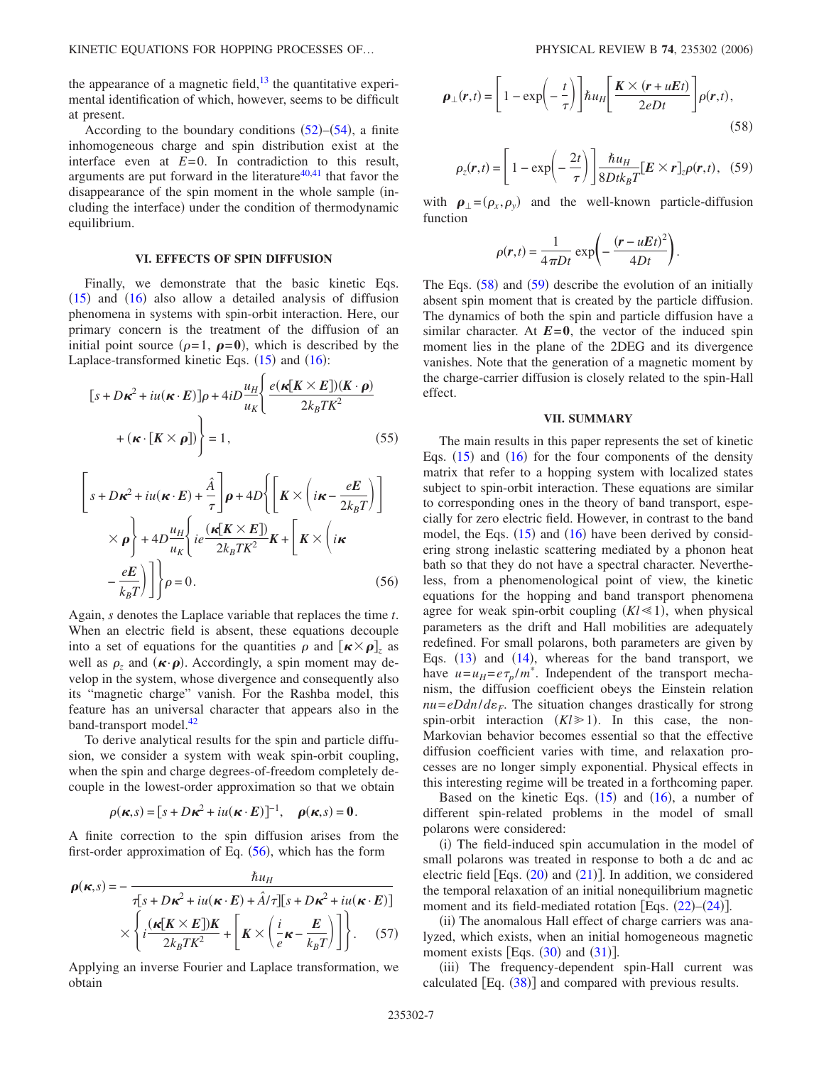the appearance of a magnetic field, $^{13}$  the quantitative experimental identification of which, however, seems to be difficult at present.

According to the boundary conditions  $(52)$  $(52)$  $(52)$ – $(54)$  $(54)$  $(54)$ , a finite inhomogeneous charge and spin distribution exist at the interface even at  $E=0$ . In contradiction to this result, arguments are put forward in the literature $40,41$  $40,41$  that favor the disappearance of the spin moment in the whole sample (including the interface) under the condition of thermodynamic equilibrium.

### **VI. EFFECTS OF SPIN DIFFUSION**

Finally, we demonstrate that the basic kinetic Eqs.  $(15)$  $(15)$  $(15)$  and  $(16)$  $(16)$  $(16)$  also allow a detailed analysis of diffusion phenomena in systems with spin-orbit interaction. Here, our primary concern is the treatment of the diffusion of an initial point source  $(\rho = 1, \ \rho = 0)$ , which is described by the Laplace-transformed kinetic Eqs.  $(15)$  $(15)$  $(15)$  and  $(16)$  $(16)$  $(16)$ :

<span id="page-6-0"></span>
$$
[s + D\kappa^{2} + iu(\kappa \cdot E)]\rho + 4iD \frac{u_{H}}{u_{K}} \left\{ \frac{e(\kappa[K \times E])(K \cdot \rho)}{2k_{B}TK^{2}} + (\kappa \cdot [K \times \rho]) \right\} = 1,
$$
 (55)

$$
\left[s + D\kappa^2 + iu(\kappa \cdot E) + \frac{\hat{A}}{\tau}\right] \rho + 4D\left\{\left[K \times \left(i\kappa - \frac{eE}{2k_B T}\right)\right] \times \rho\right\} + 4D\frac{u_H}{u_K}\left\{ie\frac{(\kappa[K \times E])}{2k_B T K^2}K + \left[K \times \left(i\kappa\right)\right] \left(-\frac{eE}{k_B T}\right)\right]\rho = 0.
$$
\n(56)

Again, *s* denotes the Laplace variable that replaces the time *t*. When an electric field is absent, these equations decouple into a set of equations for the quantities  $\rho$  and  $[\mathbf{k} \times \mathbf{\rho}]_z$  as well as  $\rho_z$  and  $(\kappa \cdot \rho)$ . Accordingly, a spin moment may develop in the system, whose divergence and consequently also its "magnetic charge" vanish. For the Rashba model, this feature has an universal character that appears also in the band-transport model.<sup>42</sup>

To derive analytical results for the spin and particle diffusion, we consider a system with weak spin-orbit coupling, when the spin and charge degrees-of-freedom completely decouple in the lowest-order approximation so that we obtain

$$
\rho(\kappa,s) = [s + D\kappa^2 + iu(\kappa \cdot E)]^{-1}, \quad \rho(\kappa,s) = 0.
$$

A finite correction to the spin diffusion arises from the first-order approximation of Eq.  $(56)$  $(56)$  $(56)$ , which has the form

$$
\rho(\kappa, s) = -\frac{\hbar u_H}{\tau[s + D\kappa^2 + iu(\kappa \cdot E) + \hat{A}/\tau][s + D\kappa^2 + iu(\kappa \cdot E)]}
$$

$$
\times \left\{ i \frac{(\kappa[K \times E])K}{2k_BTK^2} + \left[K \times \left(\frac{i}{e}\kappa - \frac{E}{k_B T}\right) \right] \right\}. \quad (57)
$$

Applying an inverse Fourier and Laplace transformation, we obtain

<span id="page-6-1"></span>
$$
\boldsymbol{\rho}_{\perp}(\boldsymbol{r},t) = \left[1 - \exp\left(-\frac{t}{\tau}\right)\right] \hbar u_H \left[\frac{\boldsymbol{K} \times (\boldsymbol{r} + uEt)}{2eDt}\right] \rho(\boldsymbol{r},t),\tag{58}
$$

<span id="page-6-2"></span>
$$
\rho_z(\mathbf{r},t) = \left[1 - \exp\left(-\frac{2t}{\tau}\right)\right] \frac{\hbar u_H}{8Dtk_BT} [\mathbf{E} \times \mathbf{r}]_z \rho(\mathbf{r},t), \quad (59)
$$

with  $\rho_{\perp} = (\rho_x, \rho_y)$  and the well-known particle-diffusion function

$$
\rho(\mathbf{r},t) = \frac{1}{4\pi Dt} \exp\left(-\frac{(\mathbf{r} - uEt)^2}{4Dt}\right).
$$

The Eqs.  $(58)$  $(58)$  $(58)$  and  $(59)$  $(59)$  $(59)$  describe the evolution of an initially absent spin moment that is created by the particle diffusion. The dynamics of both the spin and particle diffusion have a similar character. At  $E=0$ , the vector of the induced spin moment lies in the plane of the 2DEG and its divergence vanishes. Note that the generation of a magnetic moment by the charge-carrier diffusion is closely related to the spin-Hall effect.

#### **VII. SUMMARY**

The main results in this paper represents the set of kinetic Eqs.  $(15)$  $(15)$  $(15)$  and  $(16)$  $(16)$  $(16)$  for the four components of the density matrix that refer to a hopping system with localized states subject to spin-orbit interaction. These equations are similar to corresponding ones in the theory of band transport, especially for zero electric field. However, in contrast to the band model, the Eqs.  $(15)$  $(15)$  $(15)$  and  $(16)$  $(16)$  $(16)$  have been derived by considering strong inelastic scattering mediated by a phonon heat bath so that they do not have a spectral character. Nevertheless, from a phenomenological point of view, the kinetic equations for the hopping and band transport phenomena agree for weak spin-orbit coupling  $(Kl \ll 1)$ , when physical parameters as the drift and Hall mobilities are adequately redefined. For small polarons, both parameters are given by Eqs.  $(13)$  $(13)$  $(13)$  and  $(14)$  $(14)$  $(14)$ , whereas for the band transport, we have  $u = u_H = e\tau_p / m^*$ . Independent of the transport mechanism, the diffusion coefficient obeys the Einstein relation  $nu = eDdn/d\varepsilon_F$ . The situation changes drastically for strong spin-orbit interaction  $(Kl \ge 1)$ . In this case, the non-Markovian behavior becomes essential so that the effective diffusion coefficient varies with time, and relaxation processes are no longer simply exponential. Physical effects in this interesting regime will be treated in a forthcoming paper.

Based on the kinetic Eqs.  $(15)$  $(15)$  $(15)$  and  $(16)$  $(16)$  $(16)$ , a number of different spin-related problems in the model of small polarons were considered:

(i) The field-induced spin accumulation in the model of small polarons was treated in response to both a dc and ac electric field [Eqs.  $(20)$  $(20)$  $(20)$  and  $(21)$  $(21)$  $(21)$ ]. In addition, we considered the temporal relaxation of an initial nonequilibrium magnetic moment and its field-mediated rotation [Eqs.  $(22)$  $(22)$  $(22)$ – $(24)$  $(24)$  $(24)$ ].

(ii) The anomalous Hall effect of charge carriers was analyzed, which exists, when an initial homogeneous magnetic moment exists [Eqs.  $(30)$  $(30)$  $(30)$  and  $(31)$  $(31)$  $(31)$ ].

(iii) The frequency-dependent spin-Hall current was calculated  $[Eq. (38)]$  $[Eq. (38)]$  $[Eq. (38)]$  and compared with previous results.